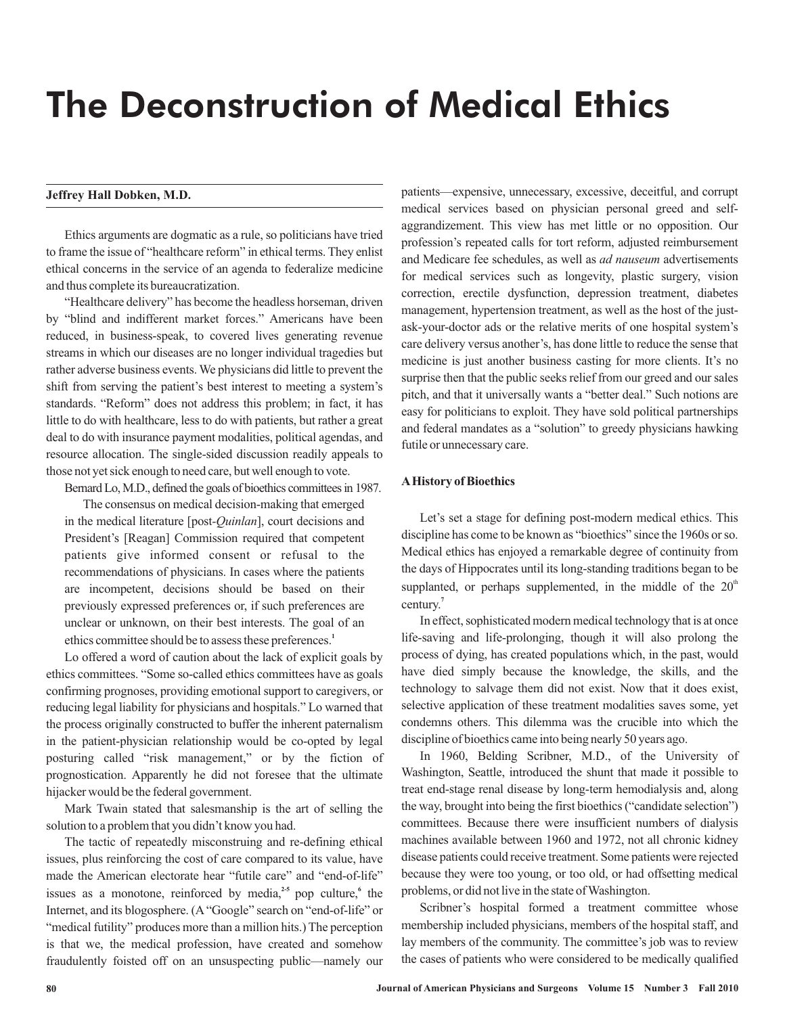# The Deconstruction of Medical Ethics

# **Jeffrey Hall Dobken, M.D.**

Ethics arguments are dogmatic as a rule, so politicians have tried to frame the issue of "healthcare reform" in ethical terms. They enlist ethical concerns in the service of an agenda to federalize medicine and thus complete its bureaucratization.

"Healthcare delivery" has become the headless horseman, driven by "blind and indifferent market forces." Americans have been reduced, in business-speak, to covered lives generating revenue streams in which our diseases are no longer individual tragedies but rather adverse business events. We physicians did little to prevent the shift from serving the patient's best interest to meeting a system's standards. "Reform" does not address this problem; in fact, it has little to do with healthcare, less to do with patients, but rather a great deal to do with insurance payment modalities, political agendas, and resource allocation. The single-sided discussion readily appeals to those not yet sick enough to need care, but well enough to vote.

Bernard Lo, M.D., defined the goals of bioethics committees in 1987.

The consensus on medical decision-making that emerged in the medical literature [post-*Quinlan*], court decisions and President's [Reagan] Commission required that competent patients give informed consent or refusal to the recommendations of physicians. In cases where the patients are incompetent, decisions should be based on their previously expressed preferences or, if such preferences are unclear or unknown, on their best interests. The goal of an ethics committee should be to assess these preferences. **1**

Lo offered a word of caution about the lack of explicit goals by ethics committees. "Some so-called ethics committees have as goals confirming prognoses, providing emotional support to caregivers, or reducing legal liability for physicians and hospitals." Lo warned that the process originally constructed to buffer the inherent paternalism in the patient-physician relationship would be co-opted by legal posturing called "risk management," or by the fiction of prognostication. Apparently he did not foresee that the ultimate hijacker would be the federal government.

Mark Twain stated that salesmanship is the art of selling the solution to a problem that you didn't know you had.

The tactic of repeatedly misconstruing and re-defining ethical issues, plus reinforcing the cost of care compared to its value, have made the American electorate hear "futile care" and "end-of-life" issues as a monotone, reinforced by media, $25$  pop culture, the Internet, and its blogosphere. (A "Google" search on "end-of-life" or "medical futility" produces more than a million hits.) The perception is that we, the medical profession, have created and somehow fraudulently foisted off on an unsuspecting public—namely our

patients—expensive, unnecessary, excessive, deceitful, and corrupt medical services based on physician personal greed and selfaggrandizement. This view has met little or no opposition. Our profession's repeated calls for tort reform, adjusted reimbursement and Medicare fee schedules, as well as *ad nauseum* advertisements for medical services such as longevity, plastic surgery, vision correction, erectile dysfunction, depression treatment, diabetes management, hypertension treatment, as well as the host of the justask-your-doctor ads or the relative merits of one hospital system's care delivery versus another's, has done little to reduce the sense that medicine is just another business casting for more clients. It's no surprise then that the public seeks relief from our greed and our sales pitch, and that it universally wants a "better deal." Such notions are easy for politicians to exploit. They have sold political partnerships and federal mandates as a "solution" to greedy physicians hawking futile or unnecessary care.

# **AHistory of Bioethics**

Let's set a stage for defining post-modern medical ethics. This discipline has come to be known as "bioethics" since the 1960s or so. Medical ethics has enjoyed a remarkable degree of continuity from the days of Hippocrates until its long-standing traditions began to be supplanted, or perhaps supplemented, in the middle of the  $20<sup>th</sup>$ century. **7**

In effect, sophisticated modern medical technology that is at once life-saving and life-prolonging, though it will also prolong the process of dying, has created populations which, in the past, would have died simply because the knowledge, the skills, and the technology to salvage them did not exist. Now that it does exist, selective application of these treatment modalities saves some, yet condemns others. This dilemma was the crucible into which the discipline of bioethics came into being nearly 50 years ago.

In 1960, Belding Scribner, M.D., of the University of Washington, Seattle, introduced the shunt that made it possible to treat end-stage renal disease by long-term hemodialysis and, along the way, brought into being the first bioethics ("candidate selection") committees. Because there were insufficient numbers of dialysis machines available between 1960 and 1972, not all chronic kidney disease patients could receive treatment. Some patients were rejected because they were too young, or too old, or had offsetting medical problems, or did not live in the state of Washington.

Scribner's hospital formed a treatment committee whose membership included physicians, members of the hospital staff, and lay members of the community. The committee's job was to review the cases of patients who were considered to be medically qualified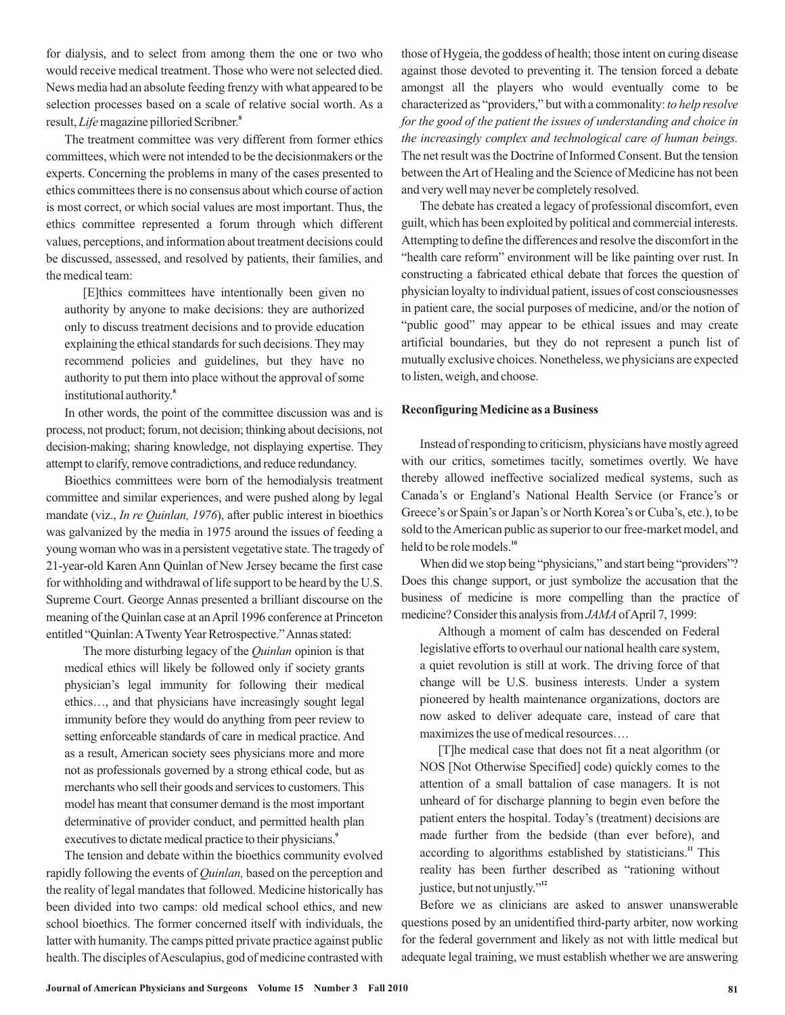for dialysis, and to select from among them the one or two who would receive medical treatment. Those who were not selected died. News media had an absolute feeding frenzy with what appeared to be selection processes based on a scale of relative social worth. As a result, Life magazine pilloried Scribner.<sup>8</sup>

The treatment committee was very different from former ethics committees, which were not intended to be the decisionmakers or the experts. Concerning the problems in many of the cases presented to ethics committees there is no consensus about which course of action is most correct, or which social values are most important. Thus, the ethics committee represented a forum through which different values, perceptions, and information about treatment decisions could be discussed, assessed, and resolved by patients, their families, and the medical team:

[E]thics committees have intentionally been given no authority by anyone to make decisions: they are authorized only to discuss treatment decisions and to provide education explaining the ethical standards for such decisions. They may recommend policies and guidelines, but they have no authority to put them into place without the approval of some institutional authority. **8**

In other words, the point of the committee discussion was and is process, not product; forum, not decision; thinking about decisions, not decision-making; sharing knowledge, not displaying expertise. They attempt to clarify, remove contradictions, and reduce redundancy.

Bioethics committees were born of the hemodialysis treatment committee and similar experiences, and were pushed along by legal mandate (viz., *In re Quinlan, 1976*), after public interest in bioethics was galvanized by the media in 1975 around the issues of feeding a young woman who was in a persistent vegetative state. The tragedy of 21-year-old Karen Ann Quinlan of New Jersey became the first case for withholding and withdrawal of life support to be heard by the U.S. Supreme Court. George Annas presented a brilliant discourse on the meaning of the Quinlan case at anApril 1996 conference at Princeton entitled "Quinlan: A Twenty Year Retrospective." Annas stated:

The more disturbing legacy of the *Quinlan* opinion is that medical ethics will likely be followed only if society grants physician's legal immunity for following their medical ethics…, and that physicians have increasingly sought legal immunity before they would do anything from peer review to setting enforceable standards of care in medical practice. And as a result, American society sees physicians more and more not as professionals governed by a strong ethical code, but as merchants who sell their goods and services to customers. This model has meant that consumer demand is the most important determinative of provider conduct, and permitted health plan executives to dictate medical practice to their physicians.<sup>9</sup>

The tension and debate within the bioethics community evolved rapidly following the events of *Quinlan*, based on the perception and the reality of legal mandates that followed. Medicine historically has been divided into two camps: old medical school ethics, and new school bioethics. The former concerned itself with individuals, the latter with humanity. The camps pitted private practice against public health. The disciples of Aesculapius, god of medicine contrasted with those of Hygeia, the goddess of health; those intent on curing disease against those devoted to preventing it. The tension forced a debate amongst all the players who would eventually come to be characterized as "providers," but with a commonality: *to help resolve* The net result was the Doctrine of Informed Consent. But the tension between theArt of Healing and the Science of Medicine has not been and very well may never be completely resolved. *for the good of the patient the issues of understanding and choice in the increasingly complex and technological care of human beings.*

The debate has created a legacy of professional discomfort, even guilt, which has been exploited by political and commercial interests. Attempting to define the differences and resolve the discomfort in the "health care reform" environment will be like painting over rust. In constructing a fabricated ethical debate that forces the question of physician loyalty to individual patient, issues of cost consciousnesses in patient care, the social purposes of medicine, and/or the notion of "public good" may appear to be ethical issues and may create artificial boundaries, but they do not represent a punch list of mutually exclusive choices. Nonetheless, we physicians are expected to listen, weigh, and choose.

# **Reconfiguring Medicine as a Business**

Instead of responding to criticism, physicians have mostly agreed with our critics, sometimes tacitly, sometimes overtly. We have thereby allowed ineffective socialized medical systems, such as Canada's or England's National Health Service (or France's or Greece's or Spain's or Japan's or North Korea's or Cuba's, etc.), to be sold to theAmerican public as superior to our free-market model, and held to be role models. **10**

When did we stop being "physicians," and start being "providers"? Does this change support, or just symbolize the accusation that the business of medicine is more compelling than the practice of medicine? Consider this analysis from *JAMA* of April 7, 1999:

Although a moment of calm has descended on Federal legislative efforts to overhaul our national health care system, a quiet revolution is still at work. The driving force of that change will be U.S. business interests. Under a system pioneered by health maintenance organizations, doctors are now asked to deliver adequate care, instead of care that maximizes the use of medical resources….

[T]he medical case that does not fit a neat algorithm (or NOS [Not Otherwise Specified] code) quickly comes to the attention of a small battalion of case managers. It is not unheard of for discharge planning to begin even before the patient enters the hospital. Today's (treatment) decisions are made further from the bedside (than ever before), and according to algorithms established by statisticians.<sup>11</sup> This reality has been further described as "rationing without justice, but not unjustly." **12**

Before we as clinicians are asked to answer unanswerable questions posed by an unidentified third-party arbiter, now working for the federal government and likely as not with little medical but adequate legal training, we must establish whether we are answering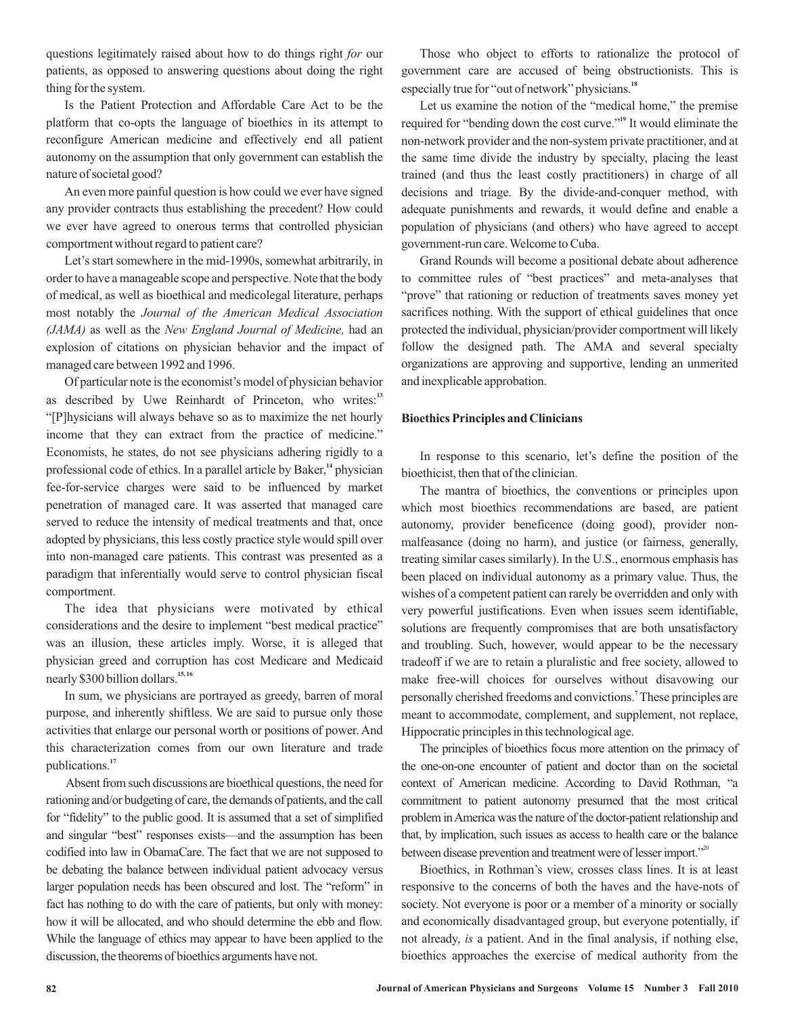questions legitimately raised about how to do things right for our patients, as opposed to answering questions about doing the right thing for the system.

Is the Patient Protection and Affordable Care Act to be the platform that co-opts the language of bioethics in its attempt to reconfigure American medicine and effectively end all patient autonomy on the assumption that only government can establish the nature of societal good?

An even more painful question is how could we ever have signed any provider contracts thus establishing the precedent? How could we ever have agreed to onerous terms that controlled physician comportment without regard to patient care?

Let's start somewhere in the mid-1990s, somewhat arbitrarily, in order to have a manageable scope and perspective. Note that the body of medical, as well as bioethical and medicolegal literature, perhaps most notably the *Journal of the American Medical Association* (*JAMA*) as well as the New England Journal of Medicine, had an explosion of citations on physician behavior and the impact of managed care between 1992 and 1996.

Of particular note is the economist's model of physician behavior as described by Uwe Reinhardt of Princeton, who writes:<sup>13</sup> "[P]hysicians will always behave so as to maximize the net hourly income that they can extract from the practice of medicine." Economists, he states, do not see physicians adhering rigidly to a professional code of ethics. In a parallel article by Baker,<sup>14</sup> physician fee-for-service charges were said to be influenced by market penetration of managed care. It was asserted that managed care served to reduce the intensity of medical treatments and that, once adopted by physicians, this less costly practice style would spill over into non-managed care patients. This contrast was presented as a paradigm that inferentially would serve to control physician fiscal comportment.

The idea that physicians were motivated by ethical considerations and the desire to implement "best medical practice" was an illusion, these articles imply. Worse, it is alleged that physician greed and corruption has cost Medicare and Medicaid nearly \$300 billion dollars. **15, 16**

In sum, we physicians are portrayed as greedy, barren of moral purpose, and inherently shiftless. We are said to pursue only those activities that enlarge our personal worth or positions of power. And this characterization comes from our own literature and trade publications. **17**

Absent from such discussions are bioethical questions, the need for rationing and/or budgeting of care, the demands of patients, and the call for "fidelity" to the public good. It is assumed that a set of simplified and singular "best" responses exists—and the assumption has been codified into law in ObamaCare. The fact that we are not supposed to be debating the balance between individual patient advocacy versus larger population needs has been obscured and lost. The "reform" in fact has nothing to do with the care of patients, but only with money: how it will be allocated, and who should determine the ebb and flow. While the language of ethics may appear to have been applied to the discussion, the theorems of bioethics arguments have not.

Those who object to efforts to rationalize the protocol of government care are accused of being obstructionists. This is especially true for "out of network" physicians. **18**

Let us examine the notion of the "medical home," the premise required for "bending down the cost curve."<sup>19</sup> It would eliminate the non-network provider and the non-system private practitioner, and at the same time divide the industry by specialty, placing the least trained (and thus the least costly practitioners) in charge of all decisions and triage. By the divide-and-conquer method, with adequate punishments and rewards, it would define and enable a population of physicians (and others) who have agreed to accept government-run care. Welcome to Cuba.

Grand Rounds will become a positional debate about adherence to committee rules of "best practices" and meta-analyses that "prove" that rationing or reduction of treatments saves money yet sacrifices nothing. With the support of ethical guidelines that once protected the individual, physician/provider comportment will likely follow the designed path. The AMA and several specialty organizations are approving and supportive, lending an unmerited and inexplicable approbation.

# **Bioethics Principles and Clinicians**

In response to this scenario, let's define the position of the bioethicist, then that of the clinician.

The mantra of bioethics, the conventions or principles upon which most bioethics recommendations are based, are patient autonomy, provider beneficence (doing good), provider nonmalfeasance (doing no harm), and justice (or fairness, generally, treating similar cases similarly). In the U.S., enormous emphasis has been placed on individual autonomy as a primary value. Thus, the wishes of a competent patient can rarely be overridden and only with very powerful justifications. Even when issues seem identifiable, solutions are frequently compromises that are both unsatisfactory and troubling. Such, however, would appear to be the necessary tradeoff if we are to retain a pluralistic and free society, allowed to make free-will choices for ourselves without disavowing our personally cherished freedoms and convictions. These principles are **7** meant to accommodate, complement, and supplement, not replace, Hippocratic principles in this technological age.

The principles of bioethics focus more attention on the primacy of the one-on-one encounter of patient and doctor than on the societal context of American medicine. According to David Rothman, "a commitment to patient autonomy presumed that the most critical problem inAmerica was the nature of the doctor-patient relationship and that, by implication, such issues as access to health care or the balance between disease prevention and treatment were of lesser import."<sup>20</sup>

Bioethics, in Rothman's view, crosses class lines. It is at least responsive to the concerns of both the haves and the have-nots of society. Not everyone is poor or a member of a minority or socially and economically disadvantaged group, but everyone potentially, if not already, *is* a patient. And in the final analysis, if nothing else, bioethics approaches the exercise of medical authority from the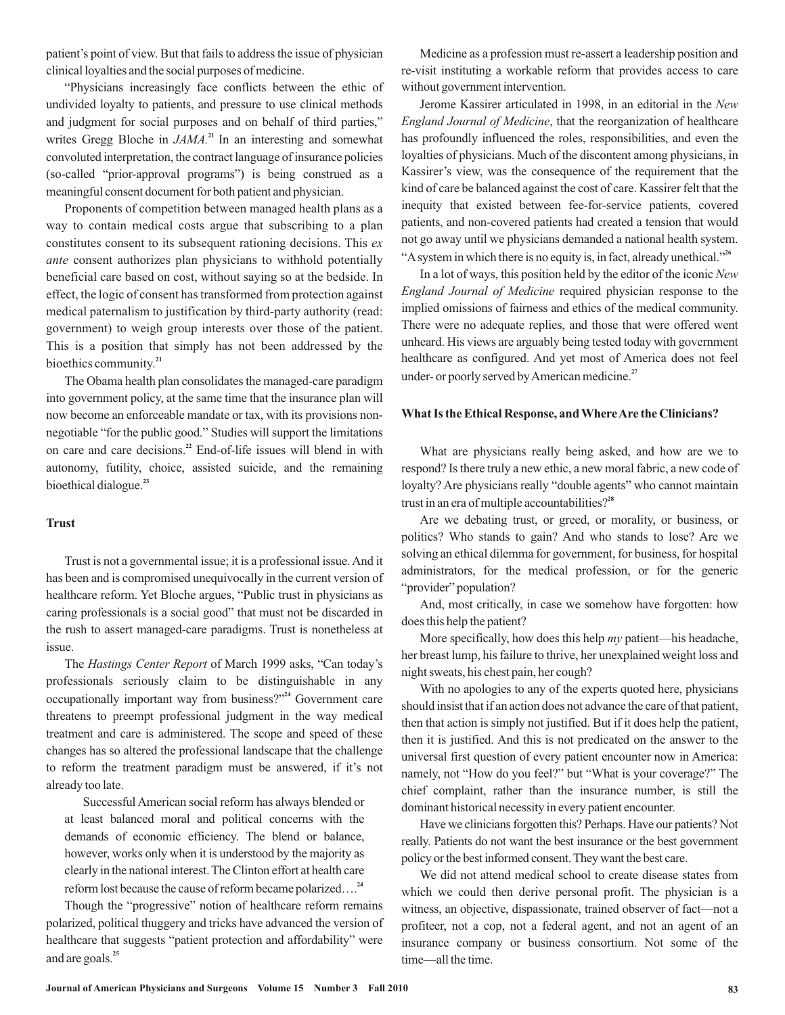patient's point of view. But that fails to address the issue of physician clinical loyalties and the social purposes of medicine.

"Physicians increasingly face conflicts between the ethic of undivided loyalty to patients, and pressure to use clinical methods and judgment for social purposes and on behalf of third parties," writes Gregg Bloche in  $JAMA$ .<sup>21</sup> In an interesting and somewhat convoluted interpretation, the contract language of insurance policies (so-called "prior-approval programs") is being construed as a meaningful consent document for both patient and physician.

Proponents of competition between managed health plans as a way to contain medical costs argue that subscribing to a plan constitutes consent to its subsequent rationing decisions. This *ex* ante consent authorizes plan physicians to withhold potentially beneficial care based on cost, without saying so at the bedside. In effect, the logic of consent has transformed from protection against medical paternalism to justification by third-party authority (read: government) to weigh group interests over those of the patient. This is a position that simply has not been addressed by the bioethics community. **21**

The Obama health plan consolidates the managed-care paradigm into government policy, at the same time that the insurance plan will now become an enforceable mandate or tax, with its provisions nonnegotiable "for the public good." Studies will support the limitations on care and care decisions.<sup>22</sup> End-of-life issues will blend in with autonomy, futility, choice, assisted suicide, and the remaining bioethical dialogue. **23**

#### **Trust**

Trust is not a governmental issue; it is a professional issue.And it has been and is compromised unequivocally in the current version of healthcare reform. Yet Bloche argues, "Public trust in physicians as caring professionals is a social good" that must not be discarded in the rush to assert managed-care paradigms. Trust is nonetheless at issue.

The Hastings Center Report of March 1999 asks, "Can today's professionals seriously claim to be distinguishable in any occupationally important way from business?"<sup>24</sup> Government care threatens to preempt professional judgment in the way medical treatment and care is administered. The scope and speed of these changes has so altered the professional landscape that the challenge to reform the treatment paradigm must be answered, if it's not already too late.

Successful American social reform has always blended or at least balanced moral and political concerns with the demands of economic efficiency. The blend or balance, however, works only when it is understood by the majority as clearly in the national interest. The Clinton effort at health care reform lost because the cause of reform became polarized…. **24**

Though the "progressive" notion of healthcare reform remains polarized, political thuggery and tricks have advanced the version of healthcare that suggests "patient protection and affordability" were and are goals. **25**

Medicine as a profession must re-assert a leadership position and re-visit instituting a workable reform that provides access to care without government intervention.

Jerome Kassirer articulated in 1998, in an editorial in the *New* England Journal of Medicine, that the reorganization of healthcare has profoundly influenced the roles, responsibilities, and even the loyalties of physicians. Much of the discontent among physicians, in Kassirer's view, was the consequence of the requirement that the kind of care be balanced against the cost of care. Kassirer felt that the inequity that existed between fee-for-service patients, covered patients, and non-covered patients had created a tension that would not go away until we physicians demanded a national health system. "Asystem in which there is no equity is, in fact, already unethical." **26**

In a lot of ways, this position held by the editor of the iconic *New* England Journal of Medicine required physician response to the implied omissions of fairness and ethics of the medical community. There were no adequate replies, and those that were offered went unheard. His views are arguably being tested today with government healthcare as configured. And yet most of America does not feel under- or poorly served byAmerican medicine. **27**

#### **What Is the Ethical Response, and WhereAre the Clinicians?**

What are physicians really being asked, and how are we to respond? Is there truly a new ethic, a new moral fabric, a new code of loyalty? Are physicians really "double agents" who cannot maintain trust in an era of multiple accountabilities? **28**

Are we debating trust, or greed, or morality, or business, or politics? Who stands to gain? And who stands to lose? Are we solving an ethical dilemma for government, for business, for hospital administrators, for the medical profession, or for the generic "provider" population?

And, most critically, in case we somehow have forgotten: how does this help the patient?

More specifically, how does this help *my* patient—his headache, her breast lump, his failure to thrive, her unexplained weight loss and night sweats, his chest pain, her cough?

With no apologies to any of the experts quoted here, physicians should insist that if an action does not advance the care of that patient, then that action is simply not justified. But if it does help the patient, then it is justified. And this is not predicated on the answer to the universal first question of every patient encounter now in America: namely, not "How do you feel?" but "What is your coverage?" The chief complaint, rather than the insurance number, is still the dominant historical necessity in every patient encounter.

Have we clinicians forgotten this? Perhaps. Have our patients? Not really. Patients do not want the best insurance or the best government policy or the best informed consent. They want the best care.

We did not attend medical school to create disease states from which we could then derive personal profit. The physician is a witness, an objective, dispassionate, trained observer of fact—not a profiteer, not a cop, not a federal agent, and not an agent of an insurance company or business consortium. Not some of the time—all the time.